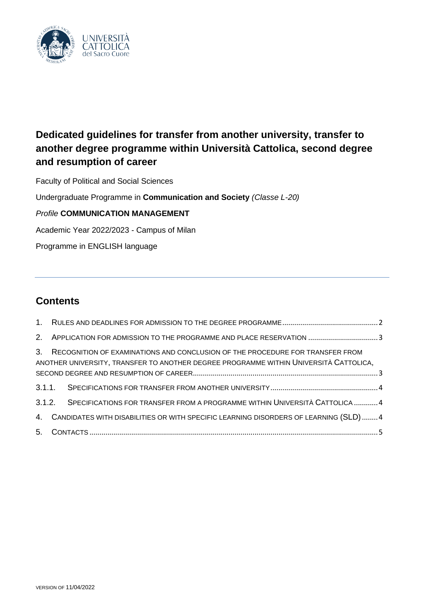

# **Dedicated guidelines for transfer from another university, transfer to another degree programme within Università Cattolica, second degree and resumption of career**

Faculty of Political and Social Sciences

Undergraduate Programme in **Communication and Society** *(Classe L-20)*

## *Profile* **COMMUNICATION MANAGEMENT**

Academic Year 2022/2023 - Campus of Milan

Programme in ENGLISH language

## **Contents**

| 3. | RECOGNITION OF EXAMINATIONS AND CONCLUSION OF THE PROCEDURE FOR TRANSFER FROM<br>ANOTHER UNIVERSITY, TRANSFER TO ANOTHER DEGREE PROGRAMME WITHIN UNIVERSITÀ CATTOLICA, |
|----|------------------------------------------------------------------------------------------------------------------------------------------------------------------------|
|    |                                                                                                                                                                        |
|    | 3.1.2. SPECIFICATIONS FOR TRANSFER FROM A PROGRAMME WITHIN UNIVERSITÀ CATTOLICA 4                                                                                      |
|    | 4. CANDIDATES WITH DISABILITIES OR WITH SPECIFIC LEARNING DISORDERS OF LEARNING (SLD)4                                                                                 |
|    |                                                                                                                                                                        |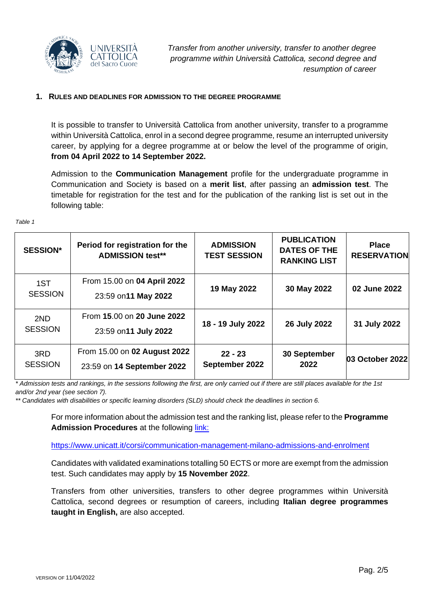

#### <span id="page-1-0"></span>**1. RULES AND DEADLINES FOR ADMISSION TO THE DEGREE PROGRAMME**

It is possible to transfer to Università Cattolica from another university, transfer to a programme within Università Cattolica, enrol in a second degree programme, resume an interrupted university career, by applying for a degree programme at or below the level of the programme of origin, **from 04 April 2022 to 14 September 2022.**

Admission to the **Communication Management** profile for the undergraduate programme in Communication and Society is based on a **merit list**, after passing an **admission test**. The timetable for registration for the test and for the publication of the ranking list is set out in the following table:

| Table |  |
|-------|--|
|       |  |

| <b>SESSION*</b>       | Period for registration for the<br><b>ADMISSION test**</b> | <b>ADMISSION</b><br><b>TEST SESSION</b> | <b>PUBLICATION</b><br><b>DATES OF THE</b><br><b>RANKING LIST</b> | <b>Place</b><br><b>RESERVATION</b> |
|-----------------------|------------------------------------------------------------|-----------------------------------------|------------------------------------------------------------------|------------------------------------|
| 1ST<br><b>SESSION</b> | From 15.00 on 04 April 2022<br>23:59 on 11 May 2022        | 19 May 2022                             | 30 May 2022                                                      | 02 June 2022                       |
| 2ND<br><b>SESSION</b> | From 15.00 on 20 June 2022<br>23:59 on 11 July 2022        | 18 - 19 July 2022                       | 26 July 2022                                                     | 31 July 2022                       |
| 3RD<br><b>SESSION</b> | From 15.00 on 02 August 2022<br>23:59 on 14 September 2022 | $22 - 23$<br>September 2022             | 30 September<br>2022                                             | 03 October 2022                    |

*\* Admission tests and rankings, in the sessions following the first, are only carried out if there are still places available for the 1st and/or 2nd year (see section 7).*

*\*\* Candidates with disabilities or specific learning disorders (SLD) should check the deadlines in section 6.*

For more information about the admission test and the ranking list, please refer to the **Programme Admission Procedures** at the following *link:* 

<https://www.unicatt.it/corsi/communication-management-milano-admissions-and-enrolment>

Candidates with validated examinations totalling 50 ECTS or more are exempt from the admission test. Such candidates may apply by **15 November 2022**.

Transfers from other universities, transfers to other degree programmes within Università Cattolica, second degrees or resumption of careers, including **Italian degree programmes taught in English,** are also accepted.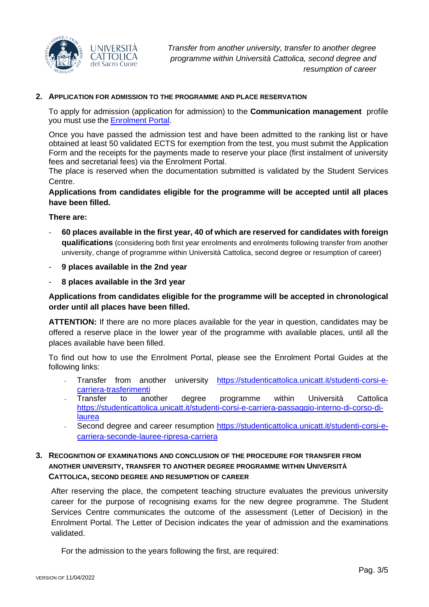

#### <span id="page-2-0"></span>**2. APPLICATION FOR ADMISSION TO THE PROGRAMME AND PLACE RESERVATION**

To apply for admission (application for admission) to the **Communication management** profile you must use the **[Enrolment Portal](https://iscrizioni.unicatt.it/iscrizioni)**.

Once you have passed the admission test and have been admitted to the ranking list or have obtained at least 50 validated ECTS for exemption from the test, you must submit the Application Form and the receipts for the payments made to reserve your place (first instalment of university fees and secretarial fees) via the Enrolment Portal.

The place is reserved when the documentation submitted is validated by the Student Services Centre.

**Applications from candidates eligible for the programme will be accepted until all places have been filled.**

**There are:**

- **60 places available in the first year, 40 of which are reserved for candidates with foreign qualifications** (considering both first year enrolments and enrolments following transfer from another university, change of programme within Università Cattolica, second degree or resumption of career)
- **9 places available in the 2nd year**
- **8 places available in the 3rd year**

## **Applications from candidates eligible for the programme will be accepted in chronological order until all places have been filled.**

**ATTENTION:** If there are no more places available for the year in question, candidates may be offered a reserve place in the lower year of the programme with available places, until all the places available have been filled.

To find out how to use the Enrolment Portal, please see the Enrolment Portal Guides at the following links:

- Transfer from another university [https://studenticattolica.unicatt.it/studenti-corsi-e](https://studenticattolica.unicatt.it/studenti-corsi-e-carriera-trasferimenti)[carriera-trasferimenti](https://studenticattolica.unicatt.it/studenti-corsi-e-carriera-trasferimenti)
- Transfer to another degree programme within Università Cattolica [https://studenticattolica.unicatt.it/studenti-corsi-e-carriera-passaggio-interno-di-corso-di](https://studenticattolica.unicatt.it/studenti-corsi-e-carriera-passaggio-interno-di-corso-di-laurea)[laurea](https://studenticattolica.unicatt.it/studenti-corsi-e-carriera-passaggio-interno-di-corso-di-laurea)
- Second degree and career resumption [https://studenticattolica.unicatt.it/studenti-corsi-e](https://studenticattolica.unicatt.it/studenti-corsi-e-carriera-seconde-lauree-ripresa-carriera)[carriera-seconde-lauree-ripresa-carriera](https://studenticattolica.unicatt.it/studenti-corsi-e-carriera-seconde-lauree-ripresa-carriera)

## <span id="page-2-1"></span>**3. RECOGNITION OF EXAMINATIONS AND CONCLUSION OF THE PROCEDURE FOR TRANSFER FROM ANOTHER UNIVERSITY, TRANSFER TO ANOTHER DEGREE PROGRAMME WITHIN UNIVERSITÀ CATTOLICA, SECOND DEGREE AND RESUMPTION OF CAREER**

After reserving the place, the competent teaching structure evaluates the previous university career for the purpose of recognising exams for the new degree programme. The Student Services Centre communicates the outcome of the assessment (Letter of Decision) in the Enrolment Portal. The Letter of Decision indicates the year of admission and the examinations validated.

For the admission to the years following the first, are required: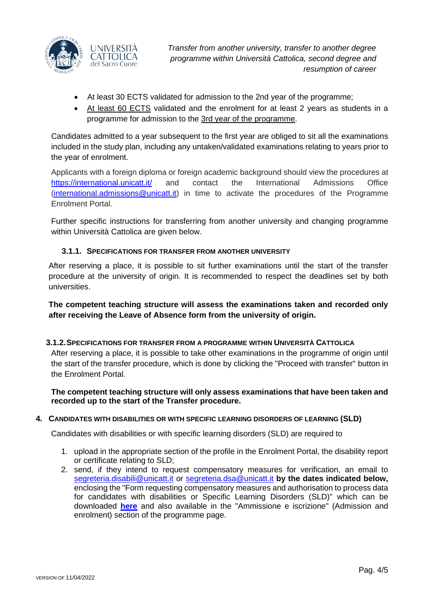

*Transfer from another university, transfer to another degree programme within Università Cattolica, second degree and resumption of career*

- At least 30 ECTS validated for admission to the 2nd year of the programme;
- At least 60 ECTS validated and the enrolment for at least 2 years as students in a programme for admission to the 3rd year of the programme.

Candidates admitted to a year subsequent to the first year are obliged to sit all the examinations included in the study plan, including any untaken/validated examinations relating to years prior to the year of enrolment.

Applicants with a foreign diploma or foreign academic background should view the procedures at <https://international.unicatt.it/> and contact the International Admissions Office [\(international.admissions@unicatt.it\)](mailto:international.admissions@unicatt.it) in time to activate the procedures of the Programme Enrolment Portal.

Further specific instructions for transferring from another university and changing programme within Università Cattolica are given below.

## **3.1.1. SPECIFICATIONS FOR TRANSFER FROM ANOTHER UNIVERSITY**

<span id="page-3-0"></span>After reserving a place, it is possible to sit further examinations until the start of the transfer procedure at the university of origin. It is recommended to respect the deadlines set by both universities.

**The competent teaching structure will assess the examinations taken and recorded only after receiving the Leave of Absence form from the university of origin.**

## <span id="page-3-1"></span>**3.1.2.SPECIFICATIONS FOR TRANSFER FROM A PROGRAMME WITHIN UNIVERSITÀ CATTOLICA**

After reserving a place, it is possible to take other examinations in the programme of origin until the start of the transfer procedure, which is done by clicking the "Proceed with transfer" button in the Enrolment Portal.

**The competent teaching structure will only assess examinations that have been taken and recorded up to the start of the Transfer procedure.**

## <span id="page-3-2"></span>**4. CANDIDATES WITH DISABILITIES OR WITH SPECIFIC LEARNING DISORDERS OF LEARNING (SLD)**

Candidates with disabilities or with specific learning disorders (SLD) are required to

- 1. upload in the appropriate section of the profile in the Enrolment Portal, the disability report or certificate relating to SLD;
- 2. send, if they intend to request compensatory measures for verification, an email to [segreteria.disabili@unicatt.it](mailto:segreteria.disabili@unicatt.it) or [segreteria.dsa@unicatt.it](mailto:segreteria.dsa@unicatt.it) **by the dates indicated below,** enclosing the "Form requesting compensatory measures and authorisation to process data for candidates with disabilities or Specific Learning Disorders (SLD)" which can be downloaded **[here](https://studenticattolica.unicatt.it/disabilita-e-dsa-prove-di-ammissione-vpi-e-ofa)** and also available in the "Ammissione e iscrizione" (Admission and enrolment) section of the programme page.